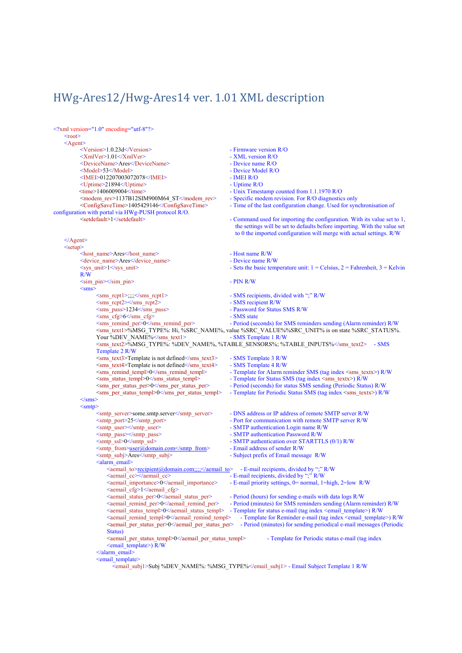## HWg-Ares12/Hwg-Ares14 ver. 1.01 XML description

| $\leq$ ?xml version="1.0" encoding="utf-8"?><br>$<$ root $>$                                                                                   |                                                                                                                                                                            |
|------------------------------------------------------------------------------------------------------------------------------------------------|----------------------------------------------------------------------------------------------------------------------------------------------------------------------------|
| $\leq$ Agent $\geq$                                                                                                                            |                                                                                                                                                                            |
| <version>1.0.23d</version>                                                                                                                     | - Firmware version R/O                                                                                                                                                     |
| $\langle \text{XmlVer}\rangle$ 1.01 $\langle \text{XmlVer}\rangle$                                                                             | - XML version R/O                                                                                                                                                          |
| <devicename>Ares</devicename>                                                                                                                  | - Device name $R/O$                                                                                                                                                        |
| <model>53</model>                                                                                                                              | - Device Model R/O                                                                                                                                                         |
| <imei>012207003072078</imei>                                                                                                                   | - IMEI R/O                                                                                                                                                                 |
| <uptime>21894</uptime>                                                                                                                         | - Uptime $R/O$                                                                                                                                                             |
| $\leq$ time>1406009004 $\leq$ /time>                                                                                                           | - Unix Timestamp counted from 1.1.1970 R/O                                                                                                                                 |
| $\leq$ modem rev>1137B12SIM900M64 ST $\leq$ modem rev><br><configsavetime>1405429146</configsavetime>                                          | - Specific modem revision. For R/O diagnostics only<br>- Time of the last configuration change. Used for synchronisation of                                                |
| configuration with portal via HWg-PUSH protocol R/O.                                                                                           |                                                                                                                                                                            |
| <setdefault>1</setdefault>                                                                                                                     | - Command used for importing the configuration. With its value set to 1,<br>the settings will be set to defaults before importing. With the value set                      |
| $\leq$ Agent>                                                                                                                                  | to 0 the imported configuration will merge with actual settings. R/W                                                                                                       |
| <setup></setup>                                                                                                                                |                                                                                                                                                                            |
| <host name="">Ares</host>                                                                                                                      | - Host name R/W                                                                                                                                                            |
| <device name="">Ares</device>                                                                                                                  | - Device name R/W                                                                                                                                                          |
| <sys unit="">1</sys><br>R/W                                                                                                                    | - Sets the basic temperature unit: $1 =$ Celsius, $2 =$ Fahrenheit, $3 =$ Kelvin                                                                                           |
| $\sin$ pin $\ge$ /sim pin $\ge$<br>$<$ sms $>$                                                                                                 | $-$ PIN R/W                                                                                                                                                                |
| <sms_rcpt1>;;;;</sms_rcpt1>                                                                                                                    | - SMS recipients, divided with ";" R/W                                                                                                                                     |
| $\langle \text{sms} \rangle$ rept2 $\langle \text{sms} \rangle$ rept2 $\langle \text{sms} \rangle$                                             | - SMS recipient R/W                                                                                                                                                        |
| <sms_pass>1234</sms_pass>                                                                                                                      | - Password for Status SMS R/W                                                                                                                                              |
| $\langle \text{sms cfg}\rangle 6 \langle \text{sms cfg}\rangle$                                                                                | - SMS state                                                                                                                                                                |
| $\leq$ sms remind per $>0$ $\leq$ /sms remind per $>$                                                                                          | - Period (seconds) for SMS reminders sending (Alarm reminder) R/W<br><sms text1="">%MSG TYPE%: Hi, %SRC NAME%, value %SRC VALUE%%SRC UNIT% is on state %SRC STATUS%.</sms> |
| Your%DEV NAME%                                                                                                                                 | - SMS Template 1 R/W                                                                                                                                                       |
|                                                                                                                                                | <sms text2="">%MSG TYPE%: %DEV NAME%, %TABLE SENSORS%; %TABLE INPUTS%</sms> - SMS                                                                                          |
| Template 2 R/W                                                                                                                                 |                                                                                                                                                                            |
| $\langle \text{sms text3>}$ Template is not defined $\langle \text{sms text3>}$<br>$\leq$ sms text4>Template is not defined $\leq$ /sms text4> | - SMS Template 3 R/W<br>- SMS Template 4 R/W                                                                                                                               |
| $\leq$ sms remind templ $>0 \leq$ /sms remind templ $>$                                                                                        | - Template for Alarm reminder SMS (tag index <sms textx="">) R/W</sms>                                                                                                     |
| <sms status="" templ="">0</sms>                                                                                                                | - Template for Status SMS (tag index <sms textx="">) R/W</sms>                                                                                                             |
| $\leq$ sms per status per $>0$ $\leq$ /sms per status per $>$                                                                                  | - Period (seconds) for status SMS sending (Periodic Status) R/W                                                                                                            |
| <sms per="" status="" templ="">0</sms>                                                                                                         | - Template for Periodic Status SMS (tag index $\langle \text{sms} \cdot \text{text} \rangle$ ) R/W                                                                         |
| $\langle$ /sms $\rangle$                                                                                                                       |                                                                                                                                                                            |
| $\leq$ smtp $\geq$                                                                                                                             |                                                                                                                                                                            |
| <smtp server="">some.smtp.server</smtp>                                                                                                        | - DNS address or IP address of remote SMTP server R/W                                                                                                                      |
| $\leq$ smtp port $>$ 25 $\leq$ /smtp port $>$                                                                                                  | - Port for communication with remote SMTP server R/W                                                                                                                       |
| $\leq$ mtp user $\geq$ /smtp user $\geq$                                                                                                       | - SMTP authentication Login name R/W                                                                                                                                       |
| <smtp pass=""></smtp>                                                                                                                          | - SMTP authentication Password R/W                                                                                                                                         |
| <smtp ssl="">0</smtp>                                                                                                                          | - SMTP authentication over STARTTLS (0/1) R/W                                                                                                                              |
| <smtp from="">user@domain.com</smtp>                                                                                                           | - Email address of sender R/W                                                                                                                                              |
| <smtp_subj>Ares</smtp_subj><br><alarm email=""></alarm>                                                                                        | - Subject prefix of Email message R/W                                                                                                                                      |
| <aemail to="">recipient@domain.com;;;;</aemail> - E-mail recipients, divided by ";" R/W                                                        |                                                                                                                                                                            |
| <aemail cc=""></aemail>                                                                                                                        | - E-mail recipients, divided by ";" R/W                                                                                                                                    |
| <aemail importance="">0</aemail><br><aemail cfg="">1</aemail>                                                                                  | - E-mail priority settings, $0$ = normal, 1=high, 2=low R/W                                                                                                                |
| <aemail per="" status="">0</aemail>                                                                                                            | - Period (hours) for sending e-mails with data logs R/W                                                                                                                    |
| <aemail per="" remind="">0</aemail>                                                                                                            | - Period (minutes) for SMS reminders sending (Alarm reminder) R/W                                                                                                          |
| <aemail status="" templ="">0</aemail>                                                                                                          | - Template for status e-mail (tag index <email template="">) R/W</email>                                                                                                   |
| <aemail remind="" templ="">0</aemail>                                                                                                          | - Template for Reminder e-mail (tag index <email template="">) R/W</email>                                                                                                 |
| $\le$ aemail per status per $\ge$ 0 $\le$ /aemail per status per $\ge$                                                                         | - Period (minutes) for sending periodical e-mail messages (Periodic                                                                                                        |
| Status)                                                                                                                                        |                                                                                                                                                                            |
| <aemail per="" status="" templ="">0</aemail>                                                                                                   | - Template for Periodic status e-mail (tag index                                                                                                                           |
| $\le$ email template $\ge$ ) R/W<br>$\triangleleft$ alarm email>                                                                               |                                                                                                                                                                            |
| <email template=""></email>                                                                                                                    |                                                                                                                                                                            |
|                                                                                                                                                | <email subj1="">Subj%DEV NAME%: %MSG TYPE%</email> - Email Subject Template 1 R/W                                                                                          |
|                                                                                                                                                |                                                                                                                                                                            |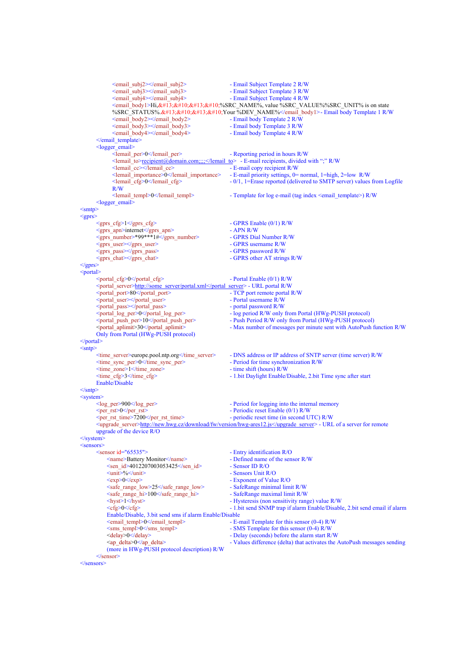```
<email_subj2></email_subj2> - Email Subject Template 2 R/W
              <email_subj3></email_subj3><br>
<email_subj4></email_subj4><br>
- Email Subject Template 4 R/W
                                                                - Email Subject Template 4 R/W
              <email_body1>Hi,&#13;&#10;&#13;&#10;%SRC_NAME%, value %SRC_VALUE%%SRC_UNIT% is on state
              %SRC_STATUS%.

Your %DEV_NAME%</email_body1>- Email body Template 1 R/W
              <email_body2></email_body2> - Email body Template 2 R/W
              <email_body3></email_body3><br>
<email_body4></email_body4>
                                                                - Email body Template 3 R/W<br>- Email body Template 4 R/W
       \le/email_template>
       <sub>logger</sub> email></sub>
             <lemail_per>0</lemail_per><br>
- Reporting period in hours R/W<br>
<lemail to>recipient@domain.com;;;;</lemail to> - E-mail recipients, divided
             <lemail_to>recipient@domain.com;;;;</lemail_to> - E-mail recipients, divided with ";" R/W
             <lemail_cc><br>
<lemail copy recipient R/W<br>
<lemail importance><br>
0</lemail importance><br>
- E-mail priority settings, 0=
             <lemail_importance>0</lemail_importance> - E-mail priority settings, 0= normal, 1=high, 2=low R/W
                                                                -0/1, 1=Erase reported (delivered to SMTP server) values from Logfile
             R/W
              <lemail_templ>0</lemail_templ> - Template for log e-mail (tag index <email_template>) R/W 
       <logger email>\leqsmtp\geq<gprs>
       <gprs_cfg>1</gprs_cfg> - GPRS Enable (0/1) R/W
       <gprs_apn>internet</gprs_apn> - APN R/W
       <gprs_number>*99***1#</gprs_number> - GPRS Dial Number R/W
       USINE USINE USINE SURVEY CONSUMING THE SURVEY OF SURVEY OF SURVEY CONSUMING THE SURVEY OF SURVEY OF SURVEY OF SURVEY OF SURVEY OF SURVEY OF SURVEY OF SURVEY OF SURVEY OF SURVEY OF SURVEY OF SURVEY OF SURVEY OF SURVEY OF S
       sprs_mass></gprs_pass><br>
<gprs_chat></gprs_chat>
                                                                - GPRS other AT strings R/W
</gprs>
<portal>
       \epsilon - Portal Enable (0/1) R/W
       <portal_server>http://some_server/portal.xml</portal_server> - URL portal R/W
      \leqportal_port>80\leqportal_port><portal_user></portal_user> - Portal username R/W
       <portal_pass></portal_pass> - portal password R/W
       <portal_log_per>0</portal_log_per> - log period R/W only from Portal (HWg-PUSH protocol)
                                                                - Push Period R/W only from Portal (HWg-PUSH protocol)
       <portal_aplimit>30</portal_aplimit> - Max number of messages per minute sent with AutoPush function R/W 
      Only from Portal (HWg-PUSH protocol)
</portal> 
<sntp><br>
<time server>europe.pool.ntp.org</time server>
       <time_server>europe.pool.ntp.org</time_server> - DNS address or IP address of SNTP server (time server) R/W
                                                                - Period for time synchronization R/W<br>- time shift (hours) R/W\leqtime_zone>1\leqtime_zone><br>
\leqtime cfg>3\leq/time cfg>
                                                                - 1.bit Daylight Enable/Disable, 2.bit Time sync after start
       Enable/Disable 
\langlesntp\rangle<system>
       <log per>900</log per><br>Period for logging into the internal memory
       <per_rst>0</per_rst> - Periodic reset Enable (0/1) R/W
       <per_rst_time>7200</per_rst_time> - periodic reset time (in second UTC) R/W
       <upgrade_server>http://new.hwg.cz/download/fw/version/hwg-ares12.js</upgrade_server> - URL of a server for remote 
      upgrade of the device R/O 
\le/system>
\lesensors>\lesensor id="65535">
           sor id="65535"> - Entry identification R/O<br>
<name>Battery Monitor </name> - Defined name of the sen
                                                                - Defined name of the sensor R/W<br>- Sensor ID R/O
           \frac{\text{Sen}_id}{4012207003053425} \frac{\text{Sen}_id}{\text{Senn}_id}Vanit>%</unit>%</unit> - Sensors Unit R/O<br>
- Sensors Unit R/O<br>
- Exponent of Value - Exponent of Value - Exponent of Value - Exponent of Value - Exponent of Value - Exponent of Value - Exponent of Value - Exponent of Valu
                                                                - Exponent of Value R/O<br>- SafeRange minimal limit R/W
           <safe_range_low>25</safe_range_low>
           <safe_range_hi>100</safe_range_hi> - SafeRange maximal limit R/W
           <hyst>1</hyst> - Hysteresis (non sensitivity range) value R/W
           <cfg>0</cfg> - 1.bit send SNMP trap if alarm Enable/Disable, 2.bit send email if alarm 
           Enable/Disable, 3.bit send sms if alarm Enable/Disable
           <email_templ>0</email_templ><br> - E-mail Template for this sensor (0-4) R/W
           <sms_templ>0</sms_templ> - SMS Template for this sensor (0-4) R/W
           \ledelay>0</delay><br>
\leap delta> \leap delta><br>
\leap delta><br>
\leap delta><br>
\leap delta><br>
\leap delta><br>
\leap delta><br>
\leap delta><br>
\leap delta><br>
\leap delta><br>
\leap delta><br>
\leap delta><br>
\leap delta><br>
\leap 
                                                                 - Values difference (delta) that activates the AutoPush messages sending
           (more in HWg-PUSH protocol description) R/W
       </sensor>
</sensors>
```